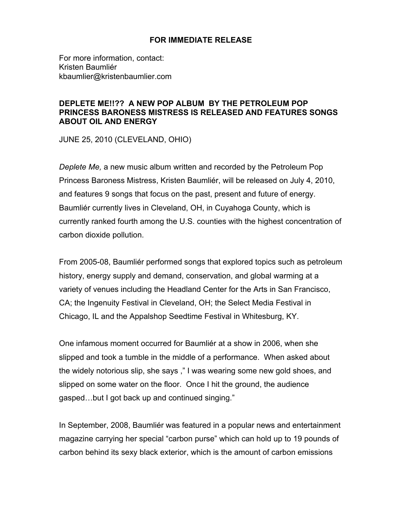## **FOR IMMEDIATE RELEASE**

For more information, contact: Kristen Baumliér kbaumlier@kristenbaumlier.com

## **DEPLETE ME!!?? A NEW POP ALBUM BY THE PETROLEUM POP PRINCESS BARONESS MISTRESS IS RELEASED AND FEATURES SONGS ABOUT OIL AND ENERGY**

JUNE 25, 2010 (CLEVELAND, OHIO)

*Deplete Me,* a new music album written and recorded by the Petroleum Pop Princess Baroness Mistress, Kristen Baumliér, will be released on July 4, 2010, and features 9 songs that focus on the past, present and future of energy. Baumliér currently lives in Cleveland, OH, in Cuyahoga County, which is currently ranked fourth among the U.S. counties with the highest concentration of carbon dioxide pollution.

From 2005-08, Baumliér performed songs that explored topics such as petroleum history, energy supply and demand, conservation, and global warming at a variety of venues including the Headland Center for the Arts in San Francisco, CA; the Ingenuity Festival in Cleveland, OH; the Select Media Festival in Chicago, IL and the Appalshop Seedtime Festival in Whitesburg, KY.

One infamous moment occurred for Baumliér at a show in 2006, when she slipped and took a tumble in the middle of a performance. When asked about the widely notorious slip, she says ," I was wearing some new gold shoes, and slipped on some water on the floor. Once I hit the ground, the audience gasped…but I got back up and continued singing."

In September, 2008, Baumliér was featured in a popular news and entertainment magazine carrying her special "carbon purse" which can hold up to 19 pounds of carbon behind its sexy black exterior, which is the amount of carbon emissions